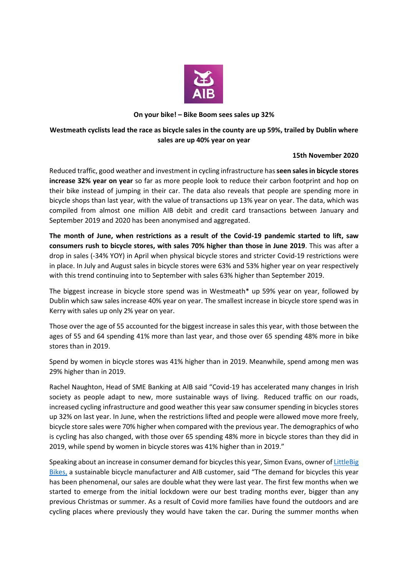

### **On your bike! – Bike Boom sees sales up 32%**

# **Westmeath cyclists lead the race as bicycle sales in the county are up 59%, trailed by Dublin where sales are up 40% year on year**

## **15th November 2020**

Reduced traffic, good weather and investment in cycling infrastructure has **seen sales in bicycle stores increase 32% year on year** so far as more people look to reduce their carbon footprint and hop on their bike instead of jumping in their car. The data also reveals that people are spending more in bicycle shops than last year, with the value of transactions up 13% year on year. The data, which was compiled from almost one million AIB debit and credit card transactions between January and September 2019 and 2020 has been anonymised and aggregated.

**The month of June, when restrictions as a result of the Covid-19 pandemic started to lift, saw consumers rush to bicycle stores, with sales 70% higher than those in June 2019**. This was after a drop in sales (-34% YOY) in April when physical bicycle stores and stricter Covid-19 restrictions were in place. In July and August sales in bicycle stores were 63% and 53% higher year on year respectively with this trend continuing into to September with sales 63% higher than September 2019.

The biggest increase in bicycle store spend was in Westmeath\* up 59% year on year, followed by Dublin which saw sales increase 40% year on year. The smallest increase in bicycle store spend was in Kerry with sales up only 2% year on year.

Those over the age of 55 accounted for the biggest increase in sales this year, with those between the ages of 55 and 64 spending 41% more than last year, and those over 65 spending 48% more in bike stores than in 2019.

Spend by women in bicycle stores was 41% higher than in 2019. Meanwhile, spend among men was 29% higher than in 2019.

Rachel Naughton, Head of SME Banking at AIB said "Covid-19 has accelerated many changes in Irish society as people adapt to new, more sustainable ways of living. Reduced traffic on our roads, increased cycling infrastructure and good weather this year saw consumer spending in bicycles stores up 32% on last year. In June, when the restrictions lifted and people were allowed move more freely, bicycle store sales were 70% higher when compared with the previous year. The demographics of who is cycling has also changed, with those over 65 spending 48% more in bicycle stores than they did in 2019, while spend by women in bicycle stores was 41% higher than in 2019."

Speaking about an increase in consumer demand for bicycles this year, Simon Evans, owner o[f LittleBig](https://www.littlebigbikes.com/)  [Bikes,](https://www.littlebigbikes.com/) a sustainable bicycle manufacturer and AIB customer, said "The demand for bicycles this year has been phenomenal, our sales are double what they were last year. The first few months when we started to emerge from the initial lockdown were our best trading months ever, bigger than any previous Christmas or summer. As a result of Covid more families have found the outdoors and are cycling places where previously they would have taken the car. During the summer months when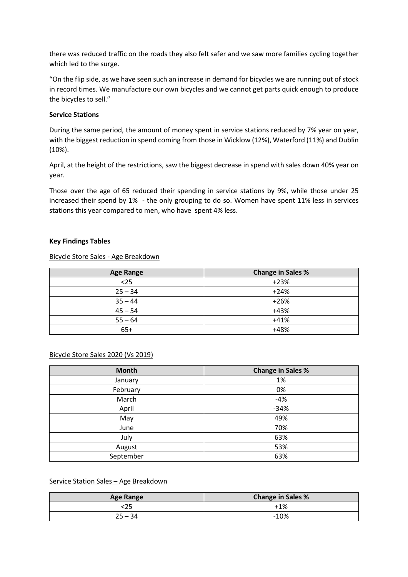there was reduced traffic on the roads they also felt safer and we saw more families cycling together which led to the surge.

"On the flip side, as we have seen such an increase in demand for bicycles we are running out of stock in record times. We manufacture our own bicycles and we cannot get parts quick enough to produce the bicycles to sell."

### **Service Stations**

During the same period, the amount of money spent in service stations reduced by 7% year on year, with the biggest reduction in spend coming from those in Wicklow (12%), Waterford (11%) and Dublin (10%).

April, at the height of the restrictions, saw the biggest decrease in spend with sales down 40% year on year.

Those over the age of 65 reduced their spending in service stations by 9%, while those under 25 increased their spend by 1% - the only grouping to do so. Women have spent 11% less in services stations this year compared to men, who have spent 4% less.

#### **Key Findings Tables**

## Bicycle Store Sales - Age Breakdown

| <b>Age Range</b> | <b>Change in Sales %</b> |
|------------------|--------------------------|
| $25$             | $+23%$                   |
| $25 - 34$        | $+24%$                   |
| $35 - 44$        | $+26%$                   |
| $45 - 54$        | $+43%$                   |
| $55 - 64$        | $+41%$                   |
| $65+$            | $+48%$                   |

#### Bicycle Store Sales 2020 (Vs 2019)

| <b>Month</b> | <b>Change in Sales %</b> |
|--------------|--------------------------|
| January      | 1%                       |
| February     | 0%                       |
| March        | $-4%$                    |
| April        | $-34%$                   |
| May          | 49%                      |
| June         | 70%                      |
| July         | 63%                      |
| August       | 53%                      |
| September    | 63%                      |

#### Service Station Sales – Age Breakdown

| <b>Age Range</b> | <b>Change in Sales %</b> |
|------------------|--------------------------|
|                  | $+1%$                    |
| $25 - 34$        | $-10%$                   |